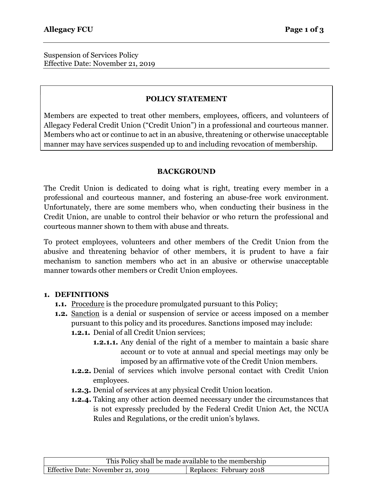Suspension of Services Policy Effective Date: November 21, 2019

### POLICY STATEMENT

Members are expected to treat other members, employees, officers, and volunteers of Allegacy Federal Credit Union ("Credit Union") in a professional and courteous manner. Members who act or continue to act in an abusive, threatening or otherwise unacceptable manner may have services suspended up to and including revocation of membership.

#### BACKGROUND

The Credit Union is dedicated to doing what is right, treating every member in a professional and courteous manner, and fostering an abuse-free work environment. Unfortunately, there are some members who, when conducting their business in the Credit Union, are unable to control their behavior or who return the professional and courteous manner shown to them with abuse and threats.

To protect employees, volunteers and other members of the Credit Union from the abusive and threatening behavior of other members, it is prudent to have a fair mechanism to sanction members who act in an abusive or otherwise unacceptable manner towards other members or Credit Union employees.

#### 1. DEFINITIONS

- **1.1.** Procedure is the procedure promulgated pursuant to this Policy;
- 1.2. Sanction is a denial or suspension of service or access imposed on a member pursuant to this policy and its procedures. Sanctions imposed may include:
	- 1.2.1. Denial of all Credit Union services;
		- **1.2.1.1.** Any denial of the right of a member to maintain a basic share account or to vote at annual and special meetings may only be imposed by an affirmative vote of the Credit Union members.
	- 1.2.2. Denial of services which involve personal contact with Credit Union employees.
	- 1.2.3. Denial of services at any physical Credit Union location.
	- 1.2.4. Taking any other action deemed necessary under the circumstances that is not expressly precluded by the Federal Credit Union Act, the NCUA Rules and Regulations, or the credit union's bylaws.

This Policy shall be made available to the membership Effective Date: November 21, 2019 Replaces: February 2018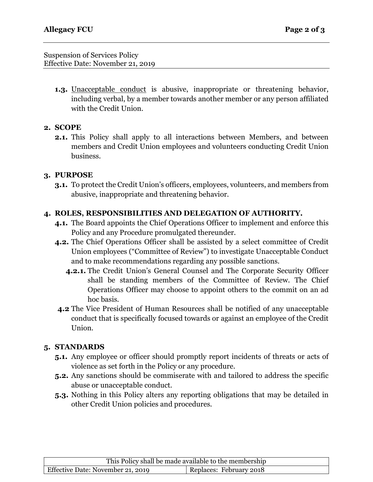Suspension of Services Policy Effective Date: November 21, 2019

> **1.3.** Unacceptable conduct is abusive, inappropriate or threatening behavior, including verbal, by a member towards another member or any person affiliated with the Credit Union.

# 2. SCOPE

2.1. This Policy shall apply to all interactions between Members, and between members and Credit Union employees and volunteers conducting Credit Union business.

### 3. PURPOSE

3.1. To protect the Credit Union's officers, employees, volunteers, and members from abusive, inappropriate and threatening behavior.

# 4. ROLES, RESPONSIBILITIES AND DELEGATION OF AUTHORITY.

- 4.1. The Board appoints the Chief Operations Officer to implement and enforce this Policy and any Procedure promulgated thereunder.
- 4.2. The Chief Operations Officer shall be assisted by a select committee of Credit Union employees ("Committee of Review") to investigate Unacceptable Conduct and to make recommendations regarding any possible sanctions.
	- 4.2.1. The Credit Union's General Counsel and The Corporate Security Officer shall be standing members of the Committee of Review. The Chief Operations Officer may choose to appoint others to the commit on an ad hoc basis.
- 4.2 The Vice President of Human Resources shall be notified of any unacceptable conduct that is specifically focused towards or against an employee of the Credit Union.

# 5. STANDARDS

- 5.1. Any employee or officer should promptly report incidents of threats or acts of violence as set forth in the Policy or any procedure.
- 5.2. Any sanctions should be commiserate with and tailored to address the specific abuse or unacceptable conduct.
- 5.3. Nothing in this Policy alters any reporting obligations that may be detailed in other Credit Union policies and procedures.

| This Policy shall be made available to the membership |                         |
|-------------------------------------------------------|-------------------------|
| Effective Date: November 21, 2019                     | Replaces: February 2018 |